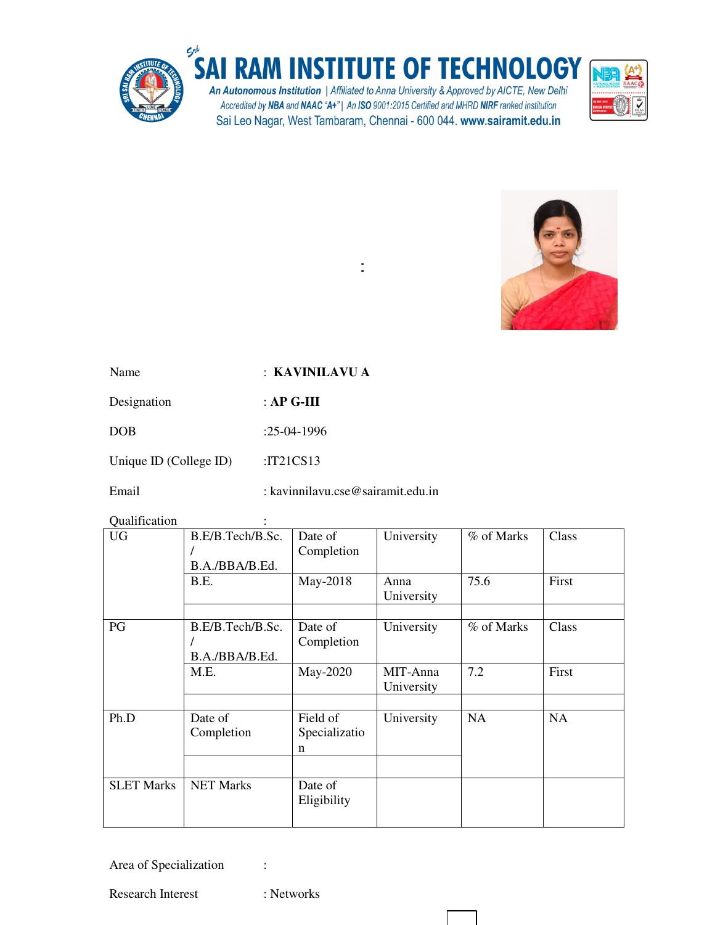

÷,



| Name        | : KAVINILAVU A |
|-------------|----------------|
| Designation | : AP G-III     |
| DOB         | $:25-04-1996$  |

Unique ID (College ID) :IT21CS13

Email : kavinnilavu.cse@sairamit.edu.in

Qualification :

| 9 aannouwen<br><b>UG</b> | B.E/B.Tech/B.Sc.<br>B.A./BBA/B.Ed. | Date of<br>Completion          | University             | % of Marks | Class |
|--------------------------|------------------------------------|--------------------------------|------------------------|------------|-------|
|                          | B.E.                               | May-2018                       | Anna<br>University     | 75.6       | First |
| PG                       | B.E/B.Tech/B.Sc.<br>B.A./BBA/B.Ed. | Date of<br>Completion          | University             | % of Marks | Class |
|                          | M.E.                               | May-2020                       | MIT-Anna<br>University | 7.2        | First |
| Ph.D                     | Date of<br>Completion              | Field of<br>Specializatio<br>n | University             | NA         | NA    |
| <b>SLET Marks</b>        | <b>NET Marks</b>                   | Date of<br>Eligibility         |                        |            |       |

Area of Specialization :

Research Interest : Networks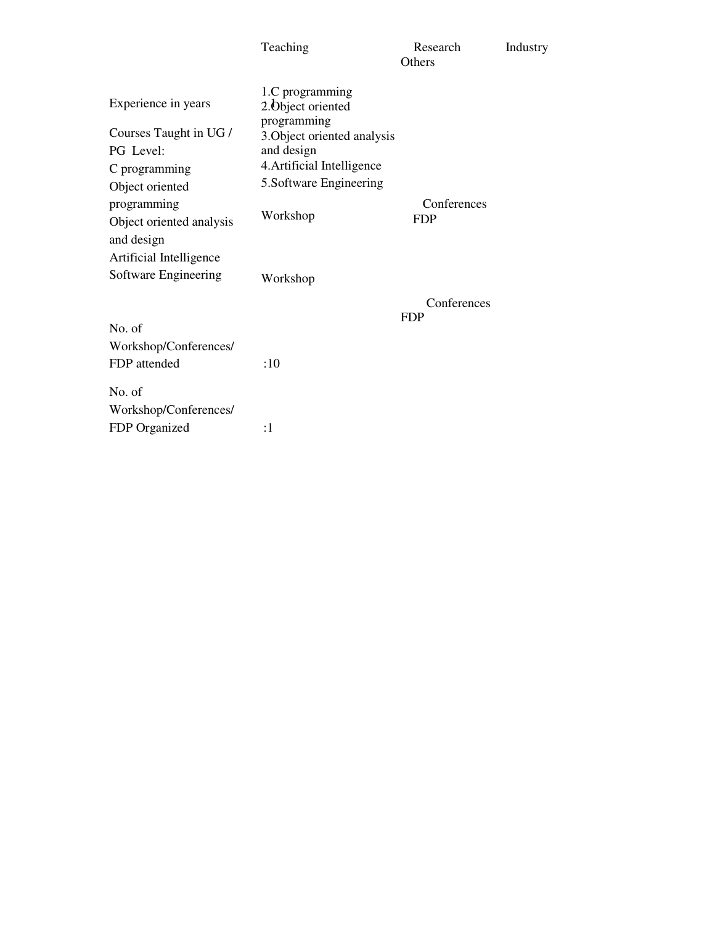|                                                                                                          | Teaching                                                                                                                                                   | Research<br><b>Others</b> | Industry |
|----------------------------------------------------------------------------------------------------------|------------------------------------------------------------------------------------------------------------------------------------------------------------|---------------------------|----------|
| Experience in years<br>Courses Taught in UG /<br>PG Level:<br>C programming<br>Object oriented           | 1.C programming<br>2. Object oriented<br>programming<br>3. Object oriented analysis<br>and design<br>4. Artificial Intelligence<br>5. Software Engineering |                           |          |
| programming<br>Object oriented analysis<br>and design<br>Artificial Intelligence<br>Software Engineering | Workshop<br>Workshop                                                                                                                                       | Conferences<br><b>FDP</b> |          |
| No. of<br>Workshop/Conferences/<br>FDP attended                                                          | :10                                                                                                                                                        | Conferences<br><b>FDP</b> |          |
| No. of<br>Workshop/Conferences/<br>FDP Organized                                                         | :1                                                                                                                                                         |                           |          |